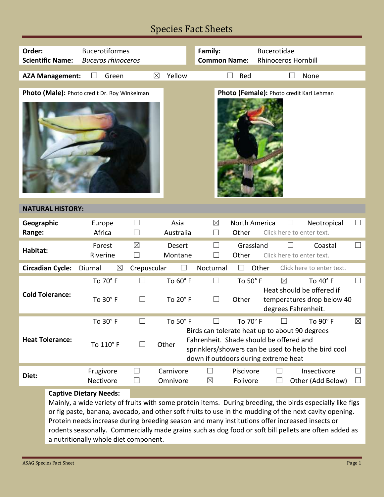## Species Fact Sheets

| Order:                  | <b>Scientific Name:</b> | <b>Bucerotiformes</b><br><b>Buceros rhinoceros</b>                                  |                          |                      | Family:<br><b>Common Name:</b>                                                                                                                                                                                                          | <b>Bucerotidae</b><br><b>Rhinoceros Hornbill</b>                                                                                                                                                                                                                                                                                                                                                                                                    |                   |  |
|-------------------------|-------------------------|-------------------------------------------------------------------------------------|--------------------------|----------------------|-----------------------------------------------------------------------------------------------------------------------------------------------------------------------------------------------------------------------------------------|-----------------------------------------------------------------------------------------------------------------------------------------------------------------------------------------------------------------------------------------------------------------------------------------------------------------------------------------------------------------------------------------------------------------------------------------------------|-------------------|--|
|                         | <b>AZA Management:</b>  | Green                                                                               | $\boxtimes$              | Yellow               | Red                                                                                                                                                                                                                                     | None                                                                                                                                                                                                                                                                                                                                                                                                                                                |                   |  |
|                         |                         | Photo (Male): Photo credit Dr. Roy Winkelman                                        |                          |                      |                                                                                                                                                                                                                                         | Photo (Female): Photo credit Karl Lehman                                                                                                                                                                                                                                                                                                                                                                                                            |                   |  |
| <b>NATURAL HISTORY:</b> |                         |                                                                                     |                          |                      |                                                                                                                                                                                                                                         |                                                                                                                                                                                                                                                                                                                                                                                                                                                     |                   |  |
| Geographic<br>Range:    |                         | Europe<br>Africa                                                                    | ⊔<br>$\Box$              | Asia<br>Australia    | $\boxtimes$<br>Other<br>$\Box$                                                                                                                                                                                                          | North America<br>Neotropical<br>Click here to enter text.                                                                                                                                                                                                                                                                                                                                                                                           | $\Box$            |  |
| Habitat:                |                         | Forest<br>Riverine                                                                  | $\boxtimes$<br>$\Box$    | Desert<br>Montane    | Other<br>$\perp$                                                                                                                                                                                                                        | Grassland<br>Coastal<br>Click here to enter text.                                                                                                                                                                                                                                                                                                                                                                                                   | $\vert \ \ \vert$ |  |
|                         | <b>Circadian Cycle:</b> | Diurnal<br>$\boxtimes$                                                              | Crepuscular              |                      | Nocturnal                                                                                                                                                                                                                               | Other<br>Click here to enter text.                                                                                                                                                                                                                                                                                                                                                                                                                  |                   |  |
| <b>Cold Tolerance:</b>  |                         | To 70° F<br>To 30° F                                                                | $\Box$<br>$\Box$         | To 60° F<br>To 20° F | $\Box$<br>To 50° F<br>$\Box$<br>Other                                                                                                                                                                                                   | To 40° F<br>$\boxtimes$<br>Heat should be offered if<br>temperatures drop below 40<br>degrees Fahrenheit.                                                                                                                                                                                                                                                                                                                                           | $\Box$            |  |
| <b>Heat Tolerance:</b>  |                         | To 30° F<br>To 110° F                                                               | $\Box$                   | To 50° F<br>Other    | To 70° F<br>$\boxtimes$<br>To $90^\circ$ F<br>Birds can tolerate heat up to about 90 degrees<br>Fahrenheit. Shade should be offered and<br>sprinklers/showers can be used to help the bird cool<br>down if outdoors during extreme heat |                                                                                                                                                                                                                                                                                                                                                                                                                                                     |                   |  |
| Diet:                   |                         | Frugivore                                                                           | ⊔                        | Carnivore            | Piscivore                                                                                                                                                                                                                               | Insectivore                                                                                                                                                                                                                                                                                                                                                                                                                                         |                   |  |
|                         |                         | Nectivore<br><b>Captive Dietary Needs:</b><br>a nutritionally whole diet component. | $\overline{\phantom{0}}$ | Omnivore             | $\boxtimes$<br>Folivore                                                                                                                                                                                                                 | Other (Add Below)<br>Mainly, a wide variety of fruits with some protein items. During breeding, the birds especially like figs<br>or fig paste, banana, avocado, and other soft fruits to use in the mudding of the next cavity opening.<br>Protein needs increase during breeding season and many institutions offer increased insects or<br>rodents seasonally. Commercially made grains such as dog food or soft bill pellets are often added as |                   |  |

Е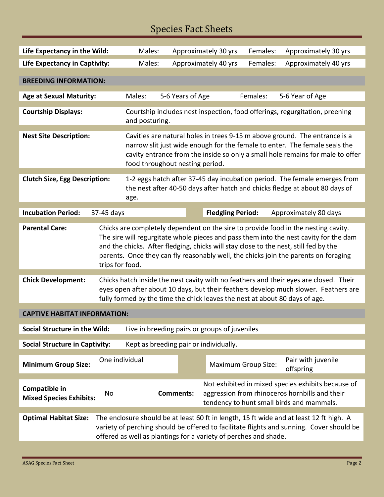## Species Fact Sheets

| Life Expectancy in the Wild:                    | Males:                                                                                                                                                                                                                                                                                                                                                                        |                                                           |                  | Approximately 30 yrs | Females:                 | Approximately 30 yrs       |                                                                                                                                                   |
|-------------------------------------------------|-------------------------------------------------------------------------------------------------------------------------------------------------------------------------------------------------------------------------------------------------------------------------------------------------------------------------------------------------------------------------------|-----------------------------------------------------------|------------------|----------------------|--------------------------|----------------------------|---------------------------------------------------------------------------------------------------------------------------------------------------|
| <b>Life Expectancy in Captivity:</b>            | Males:                                                                                                                                                                                                                                                                                                                                                                        |                                                           |                  | Approximately 40 yrs | Females:                 | Approximately 40 yrs       |                                                                                                                                                   |
| <b>BREEDING INFORMATION:</b>                    |                                                                                                                                                                                                                                                                                                                                                                               |                                                           |                  |                      |                          |                            |                                                                                                                                                   |
| <b>Age at Sexual Maturity:</b>                  |                                                                                                                                                                                                                                                                                                                                                                               | 5-6 Years of Age<br>Females:<br>5-6 Year of Age<br>Males: |                  |                      |                          |                            |                                                                                                                                                   |
| <b>Courtship Displays:</b>                      | Courtship includes nest inspection, food offerings, regurgitation, preening<br>and posturing.                                                                                                                                                                                                                                                                                 |                                                           |                  |                      |                          |                            |                                                                                                                                                   |
| <b>Nest Site Description:</b>                   | Cavities are natural holes in trees 9-15 m above ground. The entrance is a<br>narrow slit just wide enough for the female to enter. The female seals the<br>cavity entrance from the inside so only a small hole remains for male to offer<br>food throughout nesting period.                                                                                                 |                                                           |                  |                      |                          |                            |                                                                                                                                                   |
| <b>Clutch Size, Egg Description:</b>            | 1-2 eggs hatch after 37-45 day incubation period. The female emerges from<br>the nest after 40-50 days after hatch and chicks fledge at about 80 days of<br>age.                                                                                                                                                                                                              |                                                           |                  |                      |                          |                            |                                                                                                                                                   |
| <b>Incubation Period:</b>                       | 37-45 days                                                                                                                                                                                                                                                                                                                                                                    |                                                           |                  |                      | <b>Fledgling Period:</b> |                            | Approximately 80 days                                                                                                                             |
| <b>Parental Care:</b>                           | Chicks are completely dependent on the sire to provide food in the nesting cavity.<br>The sire will regurgitate whole pieces and pass them into the nest cavity for the dam<br>and the chicks. After fledging, chicks will stay close to the nest, still fed by the<br>parents. Once they can fly reasonably well, the chicks join the parents on foraging<br>trips for food. |                                                           |                  |                      |                          |                            |                                                                                                                                                   |
| <b>Chick Development:</b>                       | Chicks hatch inside the nest cavity with no feathers and their eyes are closed. Their<br>eyes open after about 10 days, but their feathers develop much slower. Feathers are<br>fully formed by the time the chick leaves the nest at about 80 days of age.                                                                                                                   |                                                           |                  |                      |                          |                            |                                                                                                                                                   |
| <b>CAPTIVE HABITAT INFORMATION:</b>             |                                                                                                                                                                                                                                                                                                                                                                               |                                                           |                  |                      |                          |                            |                                                                                                                                                   |
| <b>Social Structure in the Wild:</b>            |                                                                                                                                                                                                                                                                                                                                                                               | Live in breeding pairs or groups of juveniles             |                  |                      |                          |                            |                                                                                                                                                   |
| <b>Social Structure in Captivity:</b>           |                                                                                                                                                                                                                                                                                                                                                                               | Kept as breeding pair or individually.                    |                  |                      |                          |                            |                                                                                                                                                   |
| <b>Minimum Group Size:</b>                      | One individual                                                                                                                                                                                                                                                                                                                                                                |                                                           |                  |                      |                          | <b>Maximum Group Size:</b> | Pair with juvenile<br>offspring                                                                                                                   |
| Compatible in<br><b>Mixed Species Exhibits:</b> | <b>No</b>                                                                                                                                                                                                                                                                                                                                                                     |                                                           | <b>Comments:</b> |                      |                          |                            | Not exhibited in mixed species exhibits because of<br>aggression from rhinoceros hornbills and their<br>tendency to hunt small birds and mammals. |
| <b>Optimal Habitat Size:</b>                    | The enclosure should be at least 60 ft in length, 15 ft wide and at least 12 ft high. A<br>variety of perching should be offered to facilitate flights and sunning. Cover should be<br>offered as well as plantings for a variety of perches and shade.                                                                                                                       |                                                           |                  |                      |                          |                            |                                                                                                                                                   |